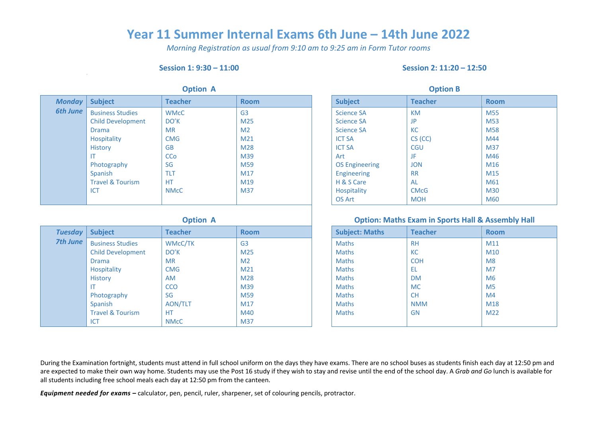## **Year 11 Summer Internal Exams 6th June – 14th June 2022**

*Morning Registration as usual from 9:10 am to 9:25 am in Form Tutor rooms*

#### **Session 1: 9:30 – 11:00 Session 2: 11:20 – 12:50**

| <b>Option A</b> |                             |                |                 | <b>Option B</b>       |                |                 |
|-----------------|-----------------------------|----------------|-----------------|-----------------------|----------------|-----------------|
| <b>Monday</b>   | <b>Subject</b>              | <b>Teacher</b> | <b>Room</b>     | <b>Subject</b>        | <b>Teacher</b> | <b>Room</b>     |
| <b>6th June</b> | <b>Business Studies</b>     | <b>WMcC</b>    | G <sub>3</sub>  | <b>Science SA</b>     | KM             | M <sub>55</sub> |
|                 | <b>Child Development</b>    | DO'K           | M <sub>25</sub> | <b>Science SA</b>     | <b>JP</b>      | M53             |
|                 | <b>Drama</b>                | <b>MR</b>      | M <sub>2</sub>  | <b>Science SA</b>     | <b>KC</b>      | M58             |
|                 | <b>Hospitality</b>          | <b>CMG</b>     | M <sub>21</sub> | <b>ICT SA</b>         | $CS$ (CC)      | M44             |
|                 | <b>History</b>              | <b>GB</b>      | M28             | <b>ICT SA</b>         | <b>CGU</b>     | M37             |
|                 | <b>IT</b>                   | <b>CCo</b>     | M39             | Art                   | JF             | M46             |
|                 | Photography                 | SG             | M59             | <b>OS Engineering</b> | <b>JON</b>     | M16             |
|                 | Spanish                     | <b>TLT</b>     | M17             | <b>Engineering</b>    | <b>RR</b>      | M15             |
|                 | <b>Travel &amp; Tourism</b> | <b>HT</b>      | M19             | H & S Care            | <b>AL</b>      | M61             |
|                 | <b>ICT</b>                  | <b>NMcC</b>    | M37             | Hospitality           | <b>CMcG</b>    | M30             |
|                 |                             |                |                 | <b>OS Art</b>         | <b>MOH</b>     | M60             |

| <b>Tuesday</b> | <b>Subject</b>              | <b>Teacher</b> | <b>Room</b>     | <b>Subject: Maths</b> | <b>Teacher</b> | <b>Room</b>     |
|----------------|-----------------------------|----------------|-----------------|-----------------------|----------------|-----------------|
| 7th June       | <b>Business Studies</b>     | <b>WMcC/TK</b> | G <sub>3</sub>  | <b>Maths</b>          | <b>RH</b>      | M11             |
|                | <b>Child Development</b>    | DO'K           | M25             | <b>Maths</b>          | <b>KC</b>      | M <sub>10</sub> |
|                | Drama                       | <b>MR</b>      | M <sub>2</sub>  | <b>Maths</b>          | <b>COH</b>     | M8              |
|                | Hospitality                 | <b>CMG</b>     | M <sub>21</sub> | <b>Maths</b>          | EL             | M <sub>7</sub>  |
|                | <b>History</b>              | <b>AM</b>      | M28             | <b>Maths</b>          | <b>DM</b>      | M6              |
|                | IT                          | <b>CCO</b>     | M39             | Maths                 | <b>MC</b>      | M <sub>5</sub>  |
|                | Photography                 | SG             | M59             | <b>Maths</b>          | <b>CH</b>      | M <sub>4</sub>  |
|                | Spanish                     | <b>AON/TLT</b> | M17             | <b>Maths</b>          | <b>NMM</b>     | M18             |
|                | <b>Travel &amp; Tourism</b> | <b>HT</b>      | M40             | <b>Maths</b>          | GN             | M <sub>22</sub> |
|                | ICT                         | <b>NMcC</b>    | M37             |                       |                |                 |

| <b>Option B</b>       |                |                 |  |  |
|-----------------------|----------------|-----------------|--|--|
| <b>Subject</b>        | <b>Teacher</b> | <b>Room</b>     |  |  |
| <b>Science SA</b>     | <b>KM</b>      | M <sub>55</sub> |  |  |
| <b>Science SA</b>     | JP             | M <sub>53</sub> |  |  |
| <b>Science SA</b>     | <b>KC</b>      | M <sub>58</sub> |  |  |
| <b>ICT SA</b>         | $CS$ (CC)      | M44             |  |  |
| <b>ICT SA</b>         | <b>CGU</b>     | M37             |  |  |
| Art                   | JF             | M46             |  |  |
| <b>OS Engineering</b> | <b>JON</b>     | M <sub>16</sub> |  |  |
| <b>Engineering</b>    | <b>RR</b>      | M15             |  |  |
| H & S Care            | AL             | M61             |  |  |
| <b>Hospitality</b>    | <b>CMcG</b>    | M30             |  |  |
| <b>OS Art</b>         | <b>MOH</b>     | M60             |  |  |

### **Option A Option: Maths Exam in Sports Hall & Assembly Hall**

| <b>Subject: Maths</b> | <b>Teacher</b> | <b>Room</b>     |
|-----------------------|----------------|-----------------|
| <b>Maths</b>          | <b>RH</b>      | M11             |
| <b>Maths</b>          | <b>KC</b>      | M <sub>10</sub> |
| <b>Maths</b>          | <b>COH</b>     | M8              |
| <b>Maths</b>          | EL.            | M <sub>7</sub>  |
| <b>Maths</b>          | <b>DM</b>      | M <sub>6</sub>  |
| <b>Maths</b>          | <b>MC</b>      | M <sub>5</sub>  |
| <b>Maths</b>          | <b>CH</b>      | M <sub>4</sub>  |
| <b>Maths</b>          | <b>NMM</b>     | M18             |
| <b>Maths</b>          | GN             | M <sub>22</sub> |
|                       |                |                 |

During the Examination fortnight, students must attend in full school uniform on the days they have exams. There are no school buses as students finish each day at 12:50 pm and are expected to make their own way home. Students may use the Post 16 study if they wish to stay and revise until the end of the school day. A *Grab and Go* lunch is available for all students including free school meals each day at 12:50 pm from the canteen.

*Equipment needed for exams –* calculator, pen, pencil, ruler, sharpener, set of colouring pencils, protractor.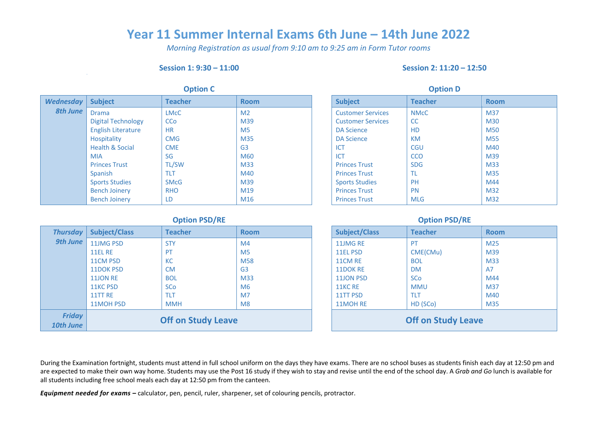## **Year 11 Summer Internal Exams 6th June – 14th June 2022**

*Morning Registration as usual from 9:10 am to 9:25 am in Form Tutor rooms*

#### **Session 1: 9:30 – 11:00 Session 2: 11:20 – 12:50**

|                  | <b>Option C</b>            |              |                 |  |                          | <b>Option D</b> |             |
|------------------|----------------------------|--------------|-----------------|--|--------------------------|-----------------|-------------|
| <b>Wednesday</b> | <b>Subject</b>             | Teacher      | <b>Room</b>     |  | <b>Subject</b>           | <b>Teacher</b>  | <b>Room</b> |
| <b>8th June</b>  | <b>Drama</b>               | <b>LMcC</b>  | M <sub>2</sub>  |  | <b>Customer Services</b> | <b>NMcC</b>     | M37         |
|                  | <b>Digital Technology</b>  | <b>CCo</b>   | M39             |  | <b>Customer Services</b> | <b>CC</b>       | <b>M30</b>  |
|                  | <b>English Literature</b>  | <b>HR</b>    | M <sub>5</sub>  |  | <b>DA Science</b>        | <b>HD</b>       | <b>M50</b>  |
|                  | <b>Hospitality</b>         | <b>CMG</b>   | M35             |  | <b>DA Science</b>        | KM              | M55         |
|                  | <b>Health &amp; Social</b> | <b>CME</b>   | G <sub>3</sub>  |  | ICT                      | <b>CGU</b>      | M40         |
|                  | MIA                        | SG           | M60             |  | ICT                      | <b>CCO</b>      | M39         |
|                  | <b>Princes Trust</b>       | <b>TL/SW</b> | M33             |  | <b>Princes Trust</b>     | <b>SDG</b>      | M33         |
|                  | Spanish                    | <b>TLT</b>   | M40             |  | <b>Princes Trust</b>     | <b>TL</b>       | <b>M35</b>  |
|                  | <b>Sports Studies</b>      | <b>SMcG</b>  | M39             |  | <b>Sports Studies</b>    | <b>PH</b>       | M44         |
|                  | <b>Bench Joinery</b>       | <b>RHO</b>   | M19             |  | <b>Princes Trust</b>     | <b>PN</b>       | M32         |
|                  | <b>Bench Joinery</b>       | LD.          | M <sub>16</sub> |  | <b>Princes Trust</b>     | <b>MLG</b>      | M32         |

| <b>Option D</b>          |                        |                 |  |  |
|--------------------------|------------------------|-----------------|--|--|
| <b>Subject</b>           | <b>Teacher</b>         | <b>Room</b>     |  |  |
| <b>Customer Services</b> | <b>NM<sub>c</sub>C</b> | M37             |  |  |
| <b>Customer Services</b> | <b>CC</b>              | M30             |  |  |
| <b>DA Science</b>        | <b>HD</b>              | M50             |  |  |
| <b>DA Science</b>        | <b>KM</b>              | M <sub>55</sub> |  |  |
| ICT                      | <b>CGU</b>             | M40             |  |  |
| <b>ICT</b>               | CCO                    | M39             |  |  |
| <b>Princes Trust</b>     | <b>SDG</b>             | M33             |  |  |
| <b>Princes Trust</b>     | ΤL                     | M35             |  |  |
| <b>Sports Studies</b>    | <b>PH</b>              | M44             |  |  |
| <b>Princes Trust</b>     | <b>PN</b>              | M <sub>32</sub> |  |  |
| <b>Princes Trust</b>     | <b>MLG</b>             | M32             |  |  |

### **Option PSD/RE Option PSD/RE**

| <b>Thursday</b>            | <b>Subject/Class</b>      | <b>Teacher</b> | <b>Room</b>    | <b>Subject/Class</b>      | <b>Teacher</b> | <b>Room</b> |
|----------------------------|---------------------------|----------------|----------------|---------------------------|----------------|-------------|
| <b>9th June</b>            | 11JMG PSD                 | <b>STY</b>     | M <sub>4</sub> | 11JMG RE                  | PT             | M25         |
|                            | 11EL RE                   | PT             | M <sub>5</sub> | 11EL PSD                  | CME(CMu)       | M39         |
|                            | 11CM PSD                  | KC             | <b>M58</b>     | 11CM RE                   | <b>BOL</b>     | <b>M33</b>  |
|                            | 11DOK PSD                 | <b>CM</b>      | G <sub>3</sub> | 11DOK RE                  | <b>DM</b>      | A7          |
|                            | 11JON RE                  | <b>BOL</b>     | M33            | <b>11JON PSD</b>          | <b>SCo</b>     | M44         |
|                            | <b>11KC PSD</b>           | <b>SCo</b>     | M <sub>6</sub> | 11KC RE                   | <b>MMU</b>     | M37         |
|                            | 11TT RE                   | TLT            | M <sub>7</sub> | 11TT PSD                  | <b>TLT</b>     | M40         |
|                            | 11MOH PSD                 | <b>MMH</b>     | M8             | 11MOH RE                  | HD (SCo)       | M35         |
| <b>Friday</b><br>10th June | <b>Off on Study Leave</b> |                |                | <b>Off on Study Leave</b> |                |             |

| <b>Subject/Class</b>      | <b>Teacher</b> | <b>Room</b>     |  |  |
|---------------------------|----------------|-----------------|--|--|
| 11JMG RE                  | <b>PT</b>      | M <sub>25</sub> |  |  |
| <b>11EL PSD</b>           | CME(CMu)       | M39             |  |  |
| 11CM RE                   | <b>BOL</b>     | M33             |  |  |
| 11DOK RE                  | <b>DM</b>      | A7              |  |  |
| <b>11JON PSD</b>          | <b>SCo</b>     | M44             |  |  |
| 11KC RE                   | <b>MMU</b>     | M37             |  |  |
| 11TT PSD                  | <b>TIT</b>     | M40             |  |  |
| 11MOH RE                  | HD (SCo)       | M35             |  |  |
| <b>Off on Study Leave</b> |                |                 |  |  |

During the Examination fortnight, students must attend in full school uniform on the days they have exams. There are no school buses as students finish each day at 12:50 pm and are expected to make their own way home. Students may use the Post 16 study if they wish to stay and revise until the end of the school day. A *Grab and Go* lunch is available for all students including free school meals each day at 12:50 pm from the canteen.

*Equipment needed for exams –* calculator, pen, pencil, ruler, sharpener, set of colouring pencils, protractor.